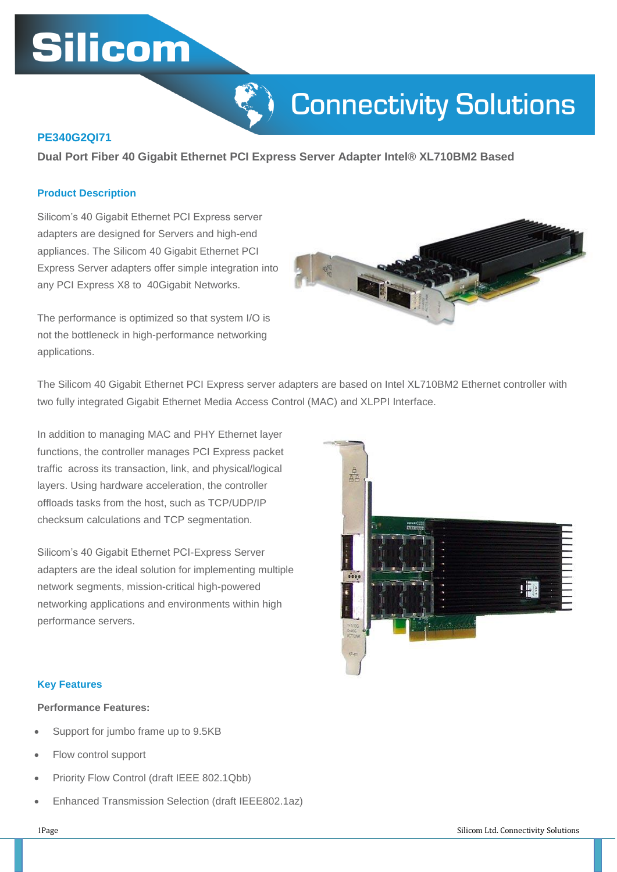# **Silicom**



## **PE340G2QI71**

**Dual Port Fiber 40 Gigabit Ethernet PCI Express Server Adapter Intel® XL710BM2 Based**

#### **Product Description**

Silicom's 40 Gigabit Ethernet PCI Express server adapters are designed for Servers and high-end appliances. The Silicom 40 Gigabit Ethernet PCI Express Server adapters offer simple integration into any PCI Express X8 to 40Gigabit Networks.

The performance is optimized so that system I/O is not the bottleneck in high-performance networking applications.



The Silicom 40 Gigabit Ethernet PCI Express server adapters are based on Intel XL710BM2 Ethernet controller with two fully integrated Gigabit Ethernet Media Access Control (MAC) and XLPPI Interface.

In addition to managing MAC and PHY Ethernet layer functions, the controller manages PCI Express packet traffic across its transaction, link, and physical/logical layers. Using hardware acceleration, the controller offloads tasks from the host, such as TCP/UDP/IP checksum calculations and TCP segmentation.

Silicom's 40 Gigabit Ethernet PCI-Express Server adapters are the ideal solution for implementing multiple network segments, mission-critical high-powered networking applications and environments within high performance servers.



#### **Key Features**

#### **Performance Features:**

- Support for jumbo frame up to 9.5KB
- Flow control support
- Priority Flow Control (draft IEEE 802.1Qbb)
- Enhanced Transmission Selection (draft IEEE802.1az)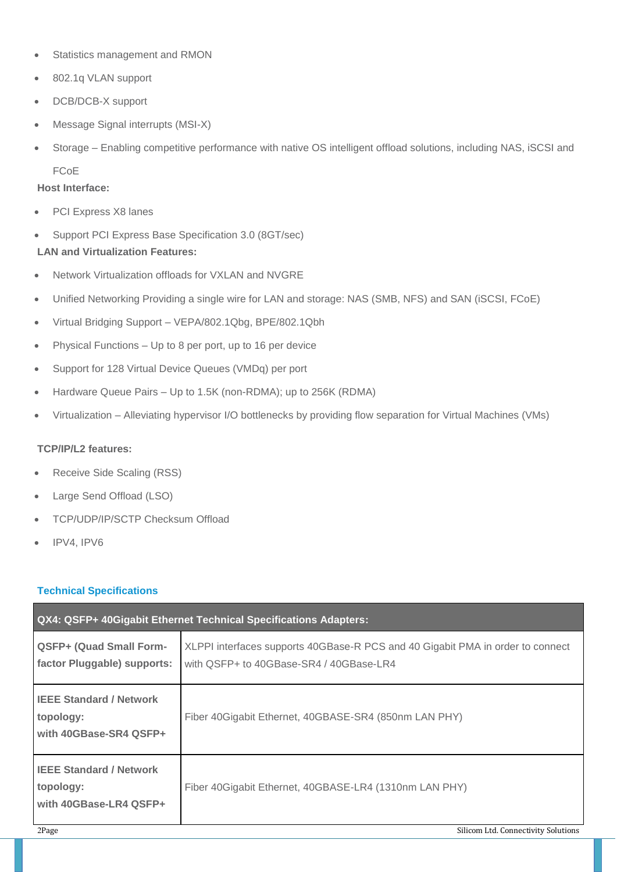- Statistics management and RMON
- 802.1q VLAN support
- DCB/DCB-X support
- Message Signal interrupts (MSI-X)
- Storage Enabling competitive performance with native OS intelligent offload solutions, including NAS, iSCSI and FCoE

## **Host Interface:**

- PCI Express X8 lanes
- Support PCI Express Base Specification 3.0 (8GT/sec)

## **LAN and Virtualization Features:**

- Network Virtualization offloads for VXLAN and NVGRE
- Unified Networking Providing a single wire for LAN and storage: NAS (SMB, NFS) and SAN (iSCSI, FCoE)
- Virtual Bridging Support VEPA/802.1Qbg, BPE/802.1Qbh
- Physical Functions Up to 8 per port, up to 16 per device
- Support for 128 Virtual Device Queues (VMDq) per port
- Hardware Queue Pairs Up to 1.5K (non-RDMA); up to 256K (RDMA)
- Virtualization Alleviating hypervisor I/O bottlenecks by providing flow separation for Virtual Machines (VMs)

## **TCP/IP/L2 features:**

- Receive Side Scaling (RSS)
- Large Send Offload (LSO)
- TCP/UDP/IP/SCTP Checksum Offload
- IPV4, IPV6

# **Technical Specifications**

| QX4: QSFP+ 40Gigabit Ethernet Technical Specifications Adapters:      |                                                                                                                           |  |  |
|-----------------------------------------------------------------------|---------------------------------------------------------------------------------------------------------------------------|--|--|
| <b>QSFP+ (Quad Small Form-</b><br>factor Pluggable) supports:         | XLPPI interfaces supports 40GBase-R PCS and 40 Gigabit PMA in order to connect<br>with QSFP+ to 40GBase-SR4 / 40GBase-LR4 |  |  |
| <b>IEEE Standard / Network</b><br>topology:<br>with 40GBase-SR4 QSFP+ | Fiber 40 Gigabit Ethernet, 40 GBASE-SR4 (850 nm LAN PHY)                                                                  |  |  |
| <b>IEEE Standard / Network</b><br>topology:<br>with 40GBase-LR4 QSFP+ | Fiber 40 Gigabit Ethernet, 40 GBASE-LR4 (1310 nm LAN PHY)                                                                 |  |  |
| 2Page                                                                 | Silicom Ltd. Connectivity Solutions                                                                                       |  |  |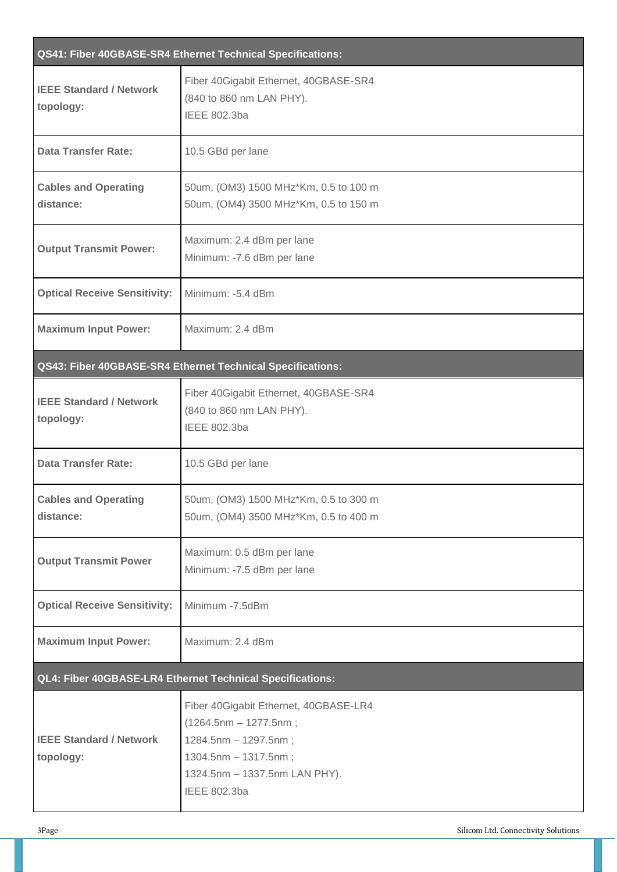| QS41: Fiber 40GBASE-SR4 Ethernet Technical Specifications: |                                                                                                                                                                          |  |  |
|------------------------------------------------------------|--------------------------------------------------------------------------------------------------------------------------------------------------------------------------|--|--|
| <b>IEEE Standard / Network</b><br>topology:                | Fiber 40Gigabit Ethernet, 40GBASE-SR4<br>(840 to 860 nm LAN PHY).<br><b>IEEE 802.3ba</b>                                                                                 |  |  |
| <b>Data Transfer Rate:</b>                                 | 10.5 GBd per lane                                                                                                                                                        |  |  |
| <b>Cables and Operating</b><br>distance:                   | 50um, (OM3) 1500 MHz*Km, 0.5 to 100 m<br>50um, (OM4) 3500 MHz*Km, 0.5 to 150 m                                                                                           |  |  |
| <b>Output Transmit Power:</b>                              | Maximum: 2.4 dBm per lane<br>Minimum: -7.6 dBm per lane                                                                                                                  |  |  |
| <b>Optical Receive Sensitivity:</b>                        | Minimum: -5.4 dBm                                                                                                                                                        |  |  |
| <b>Maximum Input Power:</b>                                | Maximum: 2.4 dBm                                                                                                                                                         |  |  |
|                                                            | <b>QS43: Fiber 40GBASE-SR4 Ethernet Technical Specifications:</b>                                                                                                        |  |  |
| <b>IEEE Standard / Network</b><br>topology:                | Fiber 40Gigabit Ethernet, 40GBASE-SR4<br>(840 to 860 nm LAN PHY).<br><b>IEEE 802.3ba</b>                                                                                 |  |  |
| <b>Data Transfer Rate:</b>                                 | 10.5 GBd per lane                                                                                                                                                        |  |  |
| <b>Cables and Operating</b><br>distance:                   | 50um, (OM3) 1500 MHz*Km, 0.5 to 300 m<br>50um, (OM4) 3500 MHz*Km, 0.5 to 400 m                                                                                           |  |  |
| <b>Output Transmit Power</b>                               | Maximum: 0.5 dBm per lane<br>Minimum: -7.5 dBm per lane                                                                                                                  |  |  |
| <b>Optical Receive Sensitivity:</b>                        | Minimum -7.5dBm                                                                                                                                                          |  |  |
| <b>Maximum Input Power:</b>                                | Maximum: 2.4 dBm                                                                                                                                                         |  |  |
| QL4: Fiber 40GBASE-LR4 Ethernet Technical Specifications:  |                                                                                                                                                                          |  |  |
| <b>IEEE Standard / Network</b><br>topology:                | Fiber 40Gigabit Ethernet, 40GBASE-LR4<br>$(1264.5nm - 1277.5nm)$<br>1284.5nm - 1297.5nm;<br>1304.5nm - 1317.5nm;<br>1324.5nm - 1337.5nm LAN PHY).<br><b>IEEE 802.3ba</b> |  |  |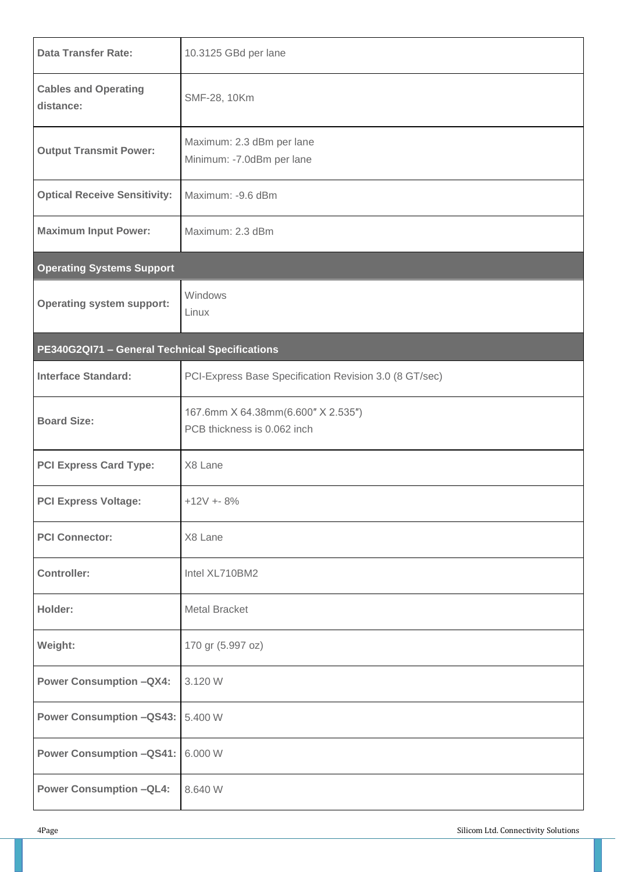| <b>Data Transfer Rate:</b>                     | 10.3125 GBd per lane                                              |  |  |  |
|------------------------------------------------|-------------------------------------------------------------------|--|--|--|
| <b>Cables and Operating</b><br>distance:       | SMF-28, 10Km                                                      |  |  |  |
| <b>Output Transmit Power:</b>                  | Maximum: 2.3 dBm per lane<br>Minimum: -7.0dBm per lane            |  |  |  |
| <b>Optical Receive Sensitivity:</b>            | Maximum: -9.6 dBm                                                 |  |  |  |
| <b>Maximum Input Power:</b>                    | Maximum: 2.3 dBm                                                  |  |  |  |
| <b>Operating Systems Support</b>               |                                                                   |  |  |  |
| <b>Operating system support:</b>               | Windows<br>Linux                                                  |  |  |  |
| PE340G2QI71 - General Technical Specifications |                                                                   |  |  |  |
| <b>Interface Standard:</b>                     | PCI-Express Base Specification Revision 3.0 (8 GT/sec)            |  |  |  |
| <b>Board Size:</b>                             | 167.6mm X 64.38mm(6.600" X 2.535")<br>PCB thickness is 0.062 inch |  |  |  |
| <b>PCI Express Card Type:</b>                  | X8 Lane                                                           |  |  |  |
| <b>PCI Express Voltage:</b>                    | $+12V + 8%$                                                       |  |  |  |
| <b>PCI Connector:</b>                          | X8 Lane                                                           |  |  |  |
| <b>Controller:</b>                             | Intel XL710BM2                                                    |  |  |  |
| Holder:                                        | <b>Metal Bracket</b>                                              |  |  |  |
| Weight:                                        | 170 gr (5.997 oz)                                                 |  |  |  |
| <b>Power Consumption -QX4:</b>                 | 3.120 W                                                           |  |  |  |
| <b>Power Consumption -QS43:</b>                | 5.400 W                                                           |  |  |  |
| <b>Power Consumption -QS41:</b>                | 6.000 W                                                           |  |  |  |
| <b>Power Consumption -QL4:</b>                 | 8.640 W                                                           |  |  |  |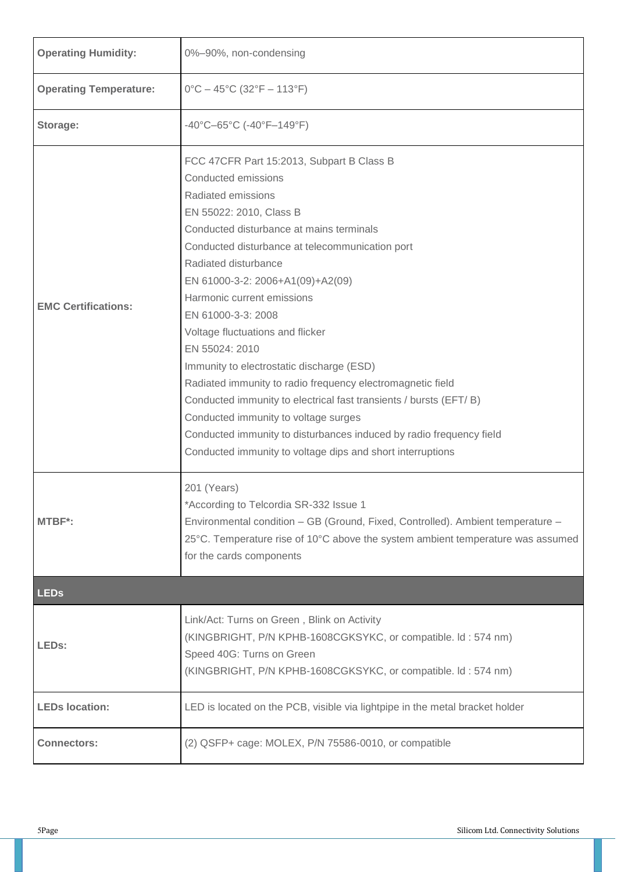| <b>Operating Humidity:</b>    | 0%-90%, non-condensing                                                                                                                                                                                                                                                                                                                                                                                                                                                                                                                                                                                                                                                                                                                              |  |
|-------------------------------|-----------------------------------------------------------------------------------------------------------------------------------------------------------------------------------------------------------------------------------------------------------------------------------------------------------------------------------------------------------------------------------------------------------------------------------------------------------------------------------------------------------------------------------------------------------------------------------------------------------------------------------------------------------------------------------------------------------------------------------------------------|--|
| <b>Operating Temperature:</b> | $0^{\circ}$ C - 45°C (32°F - 113°F)                                                                                                                                                                                                                                                                                                                                                                                                                                                                                                                                                                                                                                                                                                                 |  |
| Storage:                      | -40°C-65°C (-40°F-149°F)                                                                                                                                                                                                                                                                                                                                                                                                                                                                                                                                                                                                                                                                                                                            |  |
| <b>EMC Certifications:</b>    | FCC 47CFR Part 15:2013, Subpart B Class B<br>Conducted emissions<br>Radiated emissions<br>EN 55022: 2010, Class B<br>Conducted disturbance at mains terminals<br>Conducted disturbance at telecommunication port<br>Radiated disturbance<br>EN 61000-3-2: 2006+A1(09)+A2(09)<br>Harmonic current emissions<br>EN 61000-3-3: 2008<br>Voltage fluctuations and flicker<br>EN 55024: 2010<br>Immunity to electrostatic discharge (ESD)<br>Radiated immunity to radio frequency electromagnetic field<br>Conducted immunity to electrical fast transients / bursts (EFT/B)<br>Conducted immunity to voltage surges<br>Conducted immunity to disturbances induced by radio frequency field<br>Conducted immunity to voltage dips and short interruptions |  |
| <b>MTBF*:</b>                 | 201 (Years)<br>*According to Telcordia SR-332 Issue 1<br>Environmental condition - GB (Ground, Fixed, Controlled). Ambient temperature -<br>25°C. Temperature rise of 10°C above the system ambient temperature was assumed<br>for the cards components                                                                                                                                                                                                                                                                                                                                                                                                                                                                                             |  |
| <b>LEDs</b>                   |                                                                                                                                                                                                                                                                                                                                                                                                                                                                                                                                                                                                                                                                                                                                                     |  |
| LEDs:                         | Link/Act: Turns on Green, Blink on Activity<br>(KINGBRIGHT, P/N KPHB-1608CGKSYKC, or compatible. Id: 574 nm)<br>Speed 40G: Turns on Green<br>(KINGBRIGHT, P/N KPHB-1608CGKSYKC, or compatible. Id: 574 nm)                                                                                                                                                                                                                                                                                                                                                                                                                                                                                                                                          |  |
| <b>LEDs location:</b>         | LED is located on the PCB, visible via lightpipe in the metal bracket holder                                                                                                                                                                                                                                                                                                                                                                                                                                                                                                                                                                                                                                                                        |  |
| <b>Connectors:</b>            | (2) QSFP+ cage: MOLEX, P/N 75586-0010, or compatible                                                                                                                                                                                                                                                                                                                                                                                                                                                                                                                                                                                                                                                                                                |  |